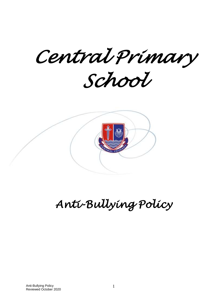*Central Primary School* 

# *Anti-Bullying Policy*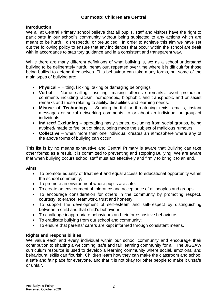# **Introduction**

We all at Central Primary school believe that all pupils, staff and visitors have the right to participate in our school's community without being subjected to any actions which are meant to be hurtful, disrespectful or prejudiced. In order to achieve this aim we have set out the following policy to ensure that any incidences that occur within the school are dealt with in accordance to statutory guidance and in a consistent and transparent way.

While there are many different definitions of what bullying is, we as a school understand bullying to be deliberately hurtful behaviour, repeated over time where it is difficult for those being bullied to defend themselves. This behaviour can take many forms, but some of the main types of bullying are:

- **Physical** Hitting, kicking, taking or damaging belongings
- **Verbal** Name calling, insulting, making offensive remarks, overt prejudiced comments including racism, homophobic, biophobic and transphobic and or sexist remarks and those relating to ability/ disabilities and learning needs.
- **Misuse of Technology** Sending hurtful or threatening texts, emails, instant messages or social networking comments, to or about an individual or group of individuals
- **Indirect/ Excluding** spreading nasty stories, excluding from social groups, being avoided/ made to feel out of place, being made the subject of malicious rumours
- **Collective** when more than one individual creates an atmosphere where any of the above forms of bullying can occur

This list is by no means exhaustive and Central Primary is aware that Bullying can take other forms; as a result, it is committed to preventing and stopping Bullying. We are aware that when bullying occurs school staff must act effectively and firmly to bring it to an end.

# **Aims**

- To promote equality of treatment and equal access to educational opportunity within the school community;
- To promote an environment where pupils are safe;
- To create an environment of tolerance and acceptance of all peoples and groups
- To encourage consideration for others in the community by promoting respect, courtesy, tolerance, teamwork, trust and honesty;
- To support the development of self-esteem and self-respect by distinguishing between a child and that child's behaviour;
- To challenge inappropriate behaviours and reinforce positive behaviours;
- To eradicate bullying from our school and community;
- To ensure that parents/ carers are kept informed through consistent means.

# **Rights and responsibilities**

We value each and every individual within our school community and encourage their contribution to shaping a welcoming, safe and fair learning community for all. The JIGSAW curriculum resource is used to develop a learning community where social, emotional and behavioural skills can flourish. Children learn how they can make the classroom and school a safe and fair place for everyone, and that it is not okay for other people to make it unsafe or unfair.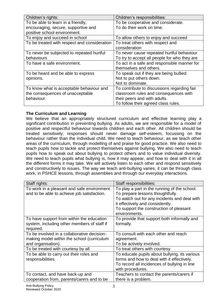| Children's rights:                           | Children's responsibilities:                 |
|----------------------------------------------|----------------------------------------------|
| To be able to learn in a friendly,           | To be cooperative and considerate.           |
| encouraging, secure, supportive and          | To do their work on time.                    |
| positive school environment.                 |                                              |
| To enjoy and succeed in school               | To allow others to enjoy and succeed         |
| To be treated with respect and consideration | To treat others with respect and             |
|                                              | consideration                                |
| To never be subjected to repeated hurtful    | To never cause repeated hurtful behaviour    |
| behaviours                                   | To try to accept all people for who they are |
| To have a safe environment.                  | To act in a safe and responsible manner for  |
|                                              | themselves and others.                       |
| To be heard and be able to express           | To speak out if they are being bullied       |
| opinions.                                    | Not to put others down.                      |
|                                              | Not to dominate.                             |
| To know what is acceptable behaviour and     | To contribute to discussions regarding fair  |
| the consequences of unacceptable             | classroom rules and consequences with        |
| behaviour.                                   | their peers and with adults.                 |
|                                              | To follow their agreed class rules.          |

# **The Curriculum and Learning**

We believe that an appropriately structured curriculum and effective learning play a significant contribution in preventing bullying. As adults, we are responsible for a model of positive and respectful behaviour towards children and each other. All children should be treated sensitively; responses should never damage self-esteem, focussing on the behaviour rather than the individual child. We need to teach behaviour, as we teach other areas of the curriculum, through modelling of and praise for good practice. We also need to teach pupils how to tackle and protect themselves against bullying. We also need to teach pupils how to speak out about bullying to protect others and to value individual diversity. We need to teach pupils what bullying is, how it may appear, and how to deal with it in all the different forms it may take. We will actively listen to each other and respond sensitively and constructively to issues. The way we teach anti-bullying varies, it can be through class work, in PSHCE lessons, through assemblies and through our everyday interactions.

| Staff rights:                               | Staff responsibilities:                       |
|---------------------------------------------|-----------------------------------------------|
| To work in a pleasant and safe environment  | To play a part in the running of the school.  |
| and to be able to achieve job satisfaction. | To prepare lessons thoughtfully.              |
|                                             | To watch out for any incidents and deal with  |
|                                             | it effectively and consistently.              |
|                                             | To support the construction of pleasant       |
|                                             | environments.                                 |
| To have support from within the education   | To provide that support both informally and   |
| system, including other members of staff if | formally.                                     |
| required.                                   |                                               |
| To be involved in a collaborative decision- | To consult with each other and reach          |
| making model within the school (curriculum  | agreement.                                    |
| and organisation).                          | To be actively involved.                      |
| To be treated with courtesy by all.         | To treat others with courtesy.                |
| To be able to carry out their roles and     | To educate pupils about bullying, its various |
| responsibilities.                           | forms and how to deal with it effectively.    |
|                                             | To record all incidences of bullying in line  |
|                                             | with procedures.                              |
| To contact, and have back-up and            | Teachers to contact the parents/carers if     |
| cooperation from, parents/carers and to be  | there is a problem.                           |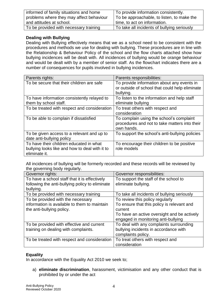| informed of family situations and home   | To provide information consistently.        |
|------------------------------------------|---------------------------------------------|
| problems where they may affect behaviour | To be approachable, to listen, to make the  |
| and attitudes at school.                 | time, to act on information.                |
| To be provided with necessary training   | To take all incidents of bullying seriously |

# **Dealing with Bullying**

Dealing with Bullying effectively means that we as a school need to be consistent with the procedures and methods we use for dealing with bullying. These procedures are in line with the Relationship & Behaviour Policy of the school and the flow charts attached show how bullying incidences will be dealt with. All incidences of bullying would be orange behaviour and would be dealt with by a member of senior staff. As the flowchart indicates there are a number of consequences for pupils involved in bullying incidences.

| Parents rights:                                | Parents responsibilities:                      |
|------------------------------------------------|------------------------------------------------|
| To be secure that their children are safe      | To provide information about any events in     |
|                                                | or outside of school that could help eliminate |
|                                                | bullying.                                      |
| To have information consistently relayed to    | To listen to the information and help staff    |
| them by school staff.                          | eliminate bullying                             |
| To be treated with respect and consideration   | To treat others with respect and               |
|                                                | consideration                                  |
| To be able to complain if dissatisfied         | To complain using the school's complaint       |
|                                                | procedures and not to take matters into their  |
|                                                | own hands.                                     |
| To be given access to a relevant and up to     | To support the school's anti-bullying policies |
| date anti-bullying policy                      |                                                |
| To have their children educated in what        | To encourage their children to be positive     |
| bullying looks like and how to deal with it to | role models                                    |
| eliminate it.                                  |                                                |

All incidences of bullying will be formerly recorded and these records will be reviewed by the governing body regularly.

| Governor rights:                                | Governor responsibilities:                  |
|-------------------------------------------------|---------------------------------------------|
| To have a school staff that it is effectively   | To support the staff of the school to       |
| following the anti-bullying policy to eliminate | eliminate bullying.                         |
| bullying.                                       |                                             |
| To be provided with necessary training          | To take all incidents of bullying seriously |
| To be provided with the necessary               | To review this policy regularly             |
| information is available to them to maintain    | To ensure that this policy is relevant and  |
| the anti-bullying policy.                       | current                                     |
|                                                 | To have an active oversight and be actively |
|                                                 | engaged in monitoring anti-bullying         |
| To be provided with effective and current       | To deal with any complaints surrounding     |
| training on dealing with complaints.            | bullying incidents in accordance with       |
|                                                 | complaints policy.                          |
| To be treated with respect and consideration    | To treat others with respect and            |
|                                                 | consideration                               |

# **Equality**

In accordance with the Equality Act 2010 we seek to;

a) **eliminate discrimination**, harassment, victimisation and any other conduct that is prohibited by or under the act